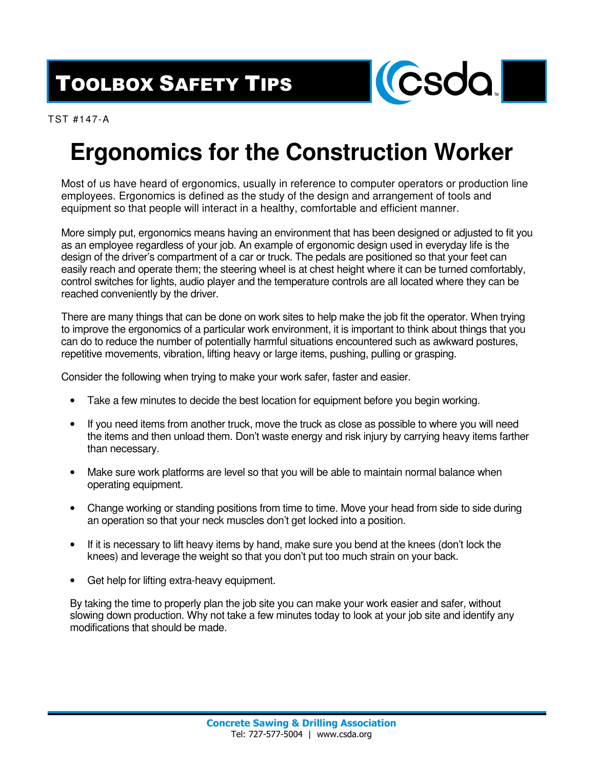TOOLBOX SAFETY TIPS



TST #147-A

## **Ergonomics for the Construction Worker**

Most of us have heard of ergonomics, usually in reference to computer operators or production line employees. Ergonomics is defined as the study of the design and arrangement of tools and equipment so that people will interact in a healthy, comfortable and efficient manner.

More simply put, ergonomics means having an environment that has been designed or adjusted to fit you as an employee regardless of your job. An example of ergonomic design used in everyday life is the design of the driver's compartment of a car or truck. The pedals are positioned so that your feet can easily reach and operate them; the steering wheel is at chest height where it can be turned comfortably, control switches for lights, audio player and the temperature controls are all located where they can be reached conveniently by the driver.

There are many things that can be done on work sites to help make the job fit the operator. When trying to improve the ergonomics of a particular work environment, it is important to think about things that you can do to reduce the number of potentially harmful situations encountered such as awkward postures, repetitive movements, vibration, lifting heavy or large items, pushing, pulling or grasping.

Consider the following when trying to make your work safer, faster and easier.

- Take a few minutes to decide the best location for equipment before you begin working.
- If you need items from another truck, move the truck as close as possible to where you will need the items and then unload them. Don't waste energy and risk injury by carrying heavy items farther than necessary.
- Make sure work platforms are level so that you will be able to maintain normal balance when operating equipment.
- Change working or standing positions from time to time. Move your head from side to side during an operation so that your neck muscles don't get locked into a position.
- If it is necessary to lift heavy items by hand, make sure you bend at the knees (don't lock the knees) and leverage the weight so that you don't put too much strain on your back.
- Get help for lifting extra-heavy equipment.

By taking the time to properly plan the job site you can make your work easier and safer, without slowing down production. Why not take a few minutes today to look at your job site and identify any modifications that should be made.